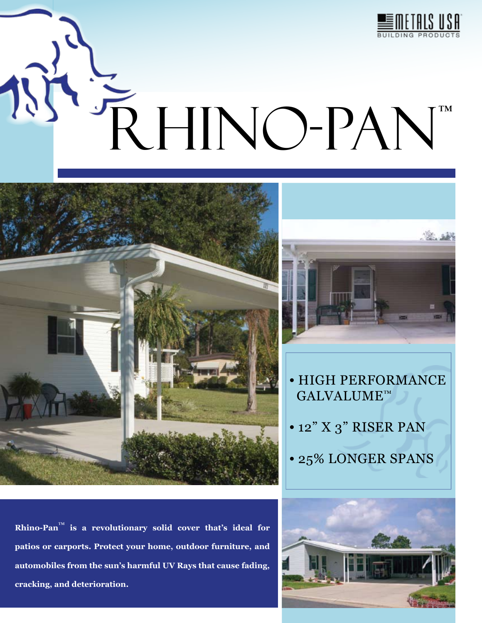

# RHINO-PAN™





- HIGH PERFORMANCE GALVALUME™
- 12" X 3" RISER PAN
- 25% LONGER SPANS

**Rhino-Pan**™ **is a revolutionary solid cover that's ideal for patios or carports. Protect your home, outdoor furniture, and automobiles from the sun's harmful UV Rays that cause fading, cracking, and deterioration.**